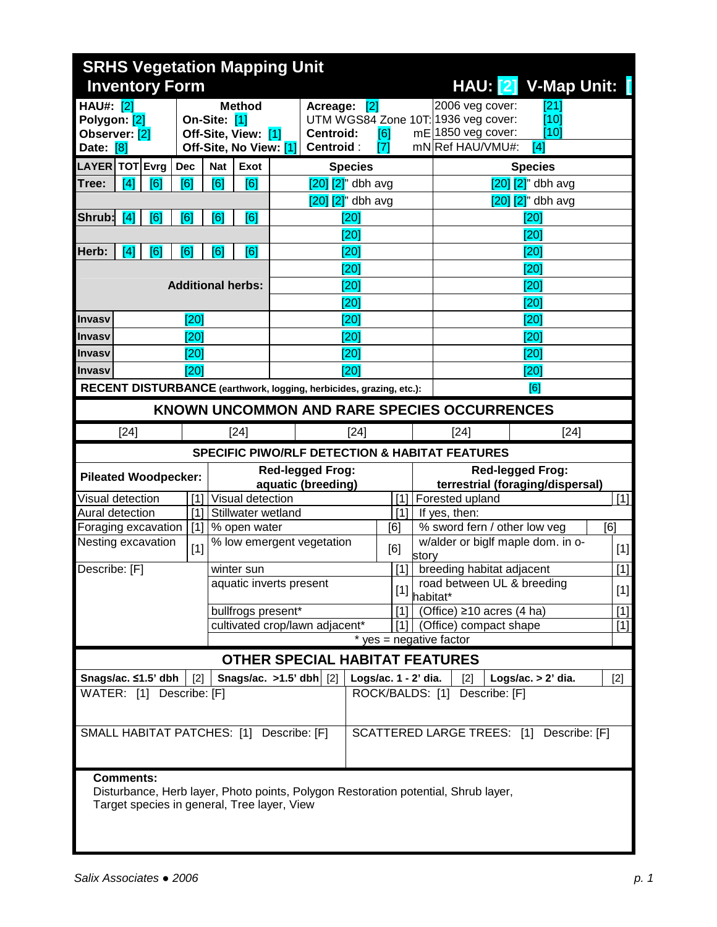|                                                                | <b>SRHS Vegetation Mapping Unit</b> |     |            |              |                                                                |                                                                     |                                               |                      |                                                             |                                                                                                  |                                          |       |  |
|----------------------------------------------------------------|-------------------------------------|-----|------------|--------------|----------------------------------------------------------------|---------------------------------------------------------------------|-----------------------------------------------|----------------------|-------------------------------------------------------------|--------------------------------------------------------------------------------------------------|------------------------------------------|-------|--|
| HAU: [2] V-Map Unit:<br><b>Inventory Form</b>                  |                                     |     |            |              |                                                                |                                                                     |                                               |                      |                                                             |                                                                                                  |                                          |       |  |
| <b>HAU#:</b> [2]<br>Polygon: [2]<br>Observer: [2]<br>Date: [8] |                                     |     |            | On-Site: [1] | <b>Method</b><br>Off-Site, View: [1]<br>Off-Site, No View: [1] |                                                                     | Acreage: [2]<br><b>Centroid:</b><br>Centroid: | [6]<br>[7]           |                                                             | 2006 veg cover:<br>UTM WGS84 Zone 10T: 1936 veg cover:<br>mE 1850 veg cover:<br>mN Ref HAU/VMU#: | [21]<br>[10]<br>[10]<br>[4]              |       |  |
| LAYER TOT Evrg                                                 |                                     |     | <b>Dec</b> | <b>Nat</b>   | <b>Exot</b>                                                    |                                                                     | <b>Species</b>                                |                      |                                                             |                                                                                                  | <b>Species</b>                           |       |  |
| Tree:                                                          | [4]                                 | [6] | [6]        | [6]          | [6]                                                            |                                                                     | $[20]$ $[2]$ " dbh avg                        |                      |                                                             |                                                                                                  | $[20]$ $[2]$ " dbh avg                   |       |  |
|                                                                |                                     |     |            |              |                                                                |                                                                     | $[20]$ $[2]$ " dbh avg                        |                      |                                                             | $[20]$ $[2]$ " dbh avg                                                                           |                                          |       |  |
| Shrub:                                                         | [4]                                 | [6] | [6]        | [6]          | [6]                                                            |                                                                     | $\overline{[20]}$                             |                      |                                                             |                                                                                                  | [20]                                     |       |  |
|                                                                |                                     |     |            |              |                                                                |                                                                     | [20]                                          |                      |                                                             |                                                                                                  | [20]                                     |       |  |
| Herb:                                                          | $\sqrt{4}$                          | [6] | [6]        | [6]          | [6]                                                            |                                                                     | [20]                                          |                      |                                                             |                                                                                                  | [20]                                     |       |  |
|                                                                |                                     |     |            |              |                                                                |                                                                     | [20]                                          |                      |                                                             |                                                                                                  | [20]                                     |       |  |
|                                                                |                                     |     |            |              | <b>Additional herbs:</b>                                       |                                                                     | [20]                                          |                      |                                                             |                                                                                                  | [20]                                     |       |  |
|                                                                |                                     |     |            |              |                                                                |                                                                     | [20]                                          |                      |                                                             |                                                                                                  | [20]                                     |       |  |
| <b>Invasy</b>                                                  |                                     |     | [20]       |              |                                                                |                                                                     | [20]                                          |                      |                                                             |                                                                                                  | [20]                                     |       |  |
| <b>Invasy</b>                                                  |                                     |     | [20]       |              |                                                                |                                                                     | [20]                                          |                      |                                                             |                                                                                                  | [20]                                     |       |  |
| Invasy                                                         |                                     |     | [20]       |              |                                                                |                                                                     | [20]                                          |                      |                                                             |                                                                                                  | [20]                                     |       |  |
| <b>Invasy</b>                                                  |                                     |     | [20]       |              |                                                                |                                                                     | [20]                                          |                      |                                                             |                                                                                                  | [20]                                     |       |  |
|                                                                |                                     |     |            |              |                                                                | RECENT DISTURBANCE (earthwork, logging, herbicides, grazing, etc.): |                                               |                      |                                                             |                                                                                                  | [6]                                      |       |  |
|                                                                |                                     |     |            |              |                                                                |                                                                     |                                               |                      |                                                             | KNOWN UNCOMMON AND RARE SPECIES OCCURRENCES                                                      |                                          |       |  |
|                                                                | $[24]$                              |     |            |              | $[24]$                                                         |                                                                     | $[24]$                                        |                      |                                                             | $[24]$<br>$[24]$                                                                                 |                                          |       |  |
|                                                                |                                     |     |            |              |                                                                |                                                                     |                                               |                      |                                                             | <b>SPECIFIC PIWO/RLF DETECTION &amp; HABITAT FEATURES</b>                                        |                                          |       |  |
| <b>Pileated Woodpecker:</b>                                    |                                     |     |            |              |                                                                | <b>Red-legged Frog:</b><br>aquatic (breeding)                       |                                               |                      | <b>Red-legged Frog:</b><br>terrestrial (foraging/dispersal) |                                                                                                  |                                          |       |  |
| Visual detection                                               |                                     |     | [1]        |              | Visual detection                                               | [1]                                                                 |                                               |                      |                                                             | $[1]$<br>Forested upland                                                                         |                                          |       |  |
| Aural detection                                                |                                     |     | $[1]$      |              | Stillwater wetland                                             |                                                                     |                                               | [1]                  |                                                             | If yes, then:                                                                                    |                                          |       |  |
| Foraging excavation                                            |                                     |     | $[1]$      |              | % open water                                                   | [6]                                                                 |                                               |                      |                                                             | % sword fern / other low veg<br>[6]<br>w/alder or biglf maple dom. in o-                         |                                          |       |  |
| Nesting excavation                                             |                                     |     | $[1]$      |              |                                                                | % low emergent vegetation<br>[6]                                    |                                               |                      | story                                                       | $[1]$                                                                                            |                                          |       |  |
| Describe: [F]<br>winter sun                                    |                                     |     |            |              | [1]<br>breeding habitat adjacent<br>road between UL & breeding |                                                                     |                                               |                      |                                                             |                                                                                                  |                                          |       |  |
|                                                                |                                     |     |            |              |                                                                | aquatic inverts present                                             |                                               |                      |                                                             |                                                                                                  |                                          | [1]   |  |
|                                                                |                                     |     |            |              |                                                                |                                                                     |                                               | $[1]$                | habitat*                                                    |                                                                                                  |                                          | $[1]$ |  |
|                                                                |                                     |     |            |              | bullfrogs present*                                             |                                                                     |                                               | [1]                  |                                                             | (Office) $\geq$ 10 acres (4 ha)                                                                  |                                          | $[1]$ |  |
|                                                                |                                     |     |            |              |                                                                | cultivated crop/lawn adjacent*                                      |                                               | 111                  |                                                             | (Office) compact shape                                                                           |                                          | $[1]$ |  |
|                                                                |                                     |     |            |              |                                                                |                                                                     |                                               |                      |                                                             | $*$ yes = negative factor                                                                        |                                          |       |  |
|                                                                |                                     |     |            |              |                                                                | <b>OTHER SPECIAL HABITAT FEATURES</b>                               |                                               |                      |                                                             |                                                                                                  |                                          |       |  |
| Snags/ac. ≤1.5' dbh<br>WATER: [1] Describe: [F]                |                                     |     | [2]        |              |                                                                | Snags/ac. $>1.5$ ' dbh $ 2 $                                        |                                               | Logs/ac. 1 - 2' dia. |                                                             | $\lceil 2 \rceil$<br>ROCK/BALDS: [1] Describe: [F]                                               | Logs/ac. > 2' dia.                       | $[2]$ |  |
|                                                                |                                     |     |            |              |                                                                | SMALL HABITAT PATCHES: [1] Describe: [F]                            |                                               |                      |                                                             |                                                                                                  | SCATTERED LARGE TREES: [1] Describe: [F] |       |  |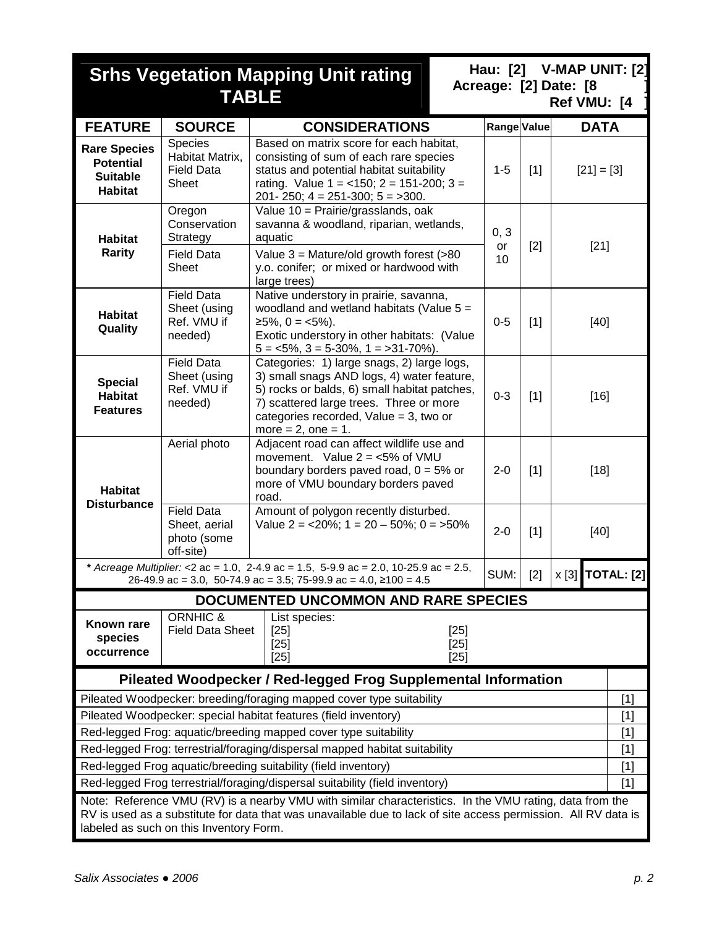|                                                                              |                                                                                                                           | <b>Srhs Vegetation Mapping Unit rating</b><br><b>TABLE</b>                                                                                                                                                                                                | Hau: [2]    |       | V-MAP UNIT: [2]<br>Acreage: [2] Date: [8<br>Ref VMU: [4 |  |
|------------------------------------------------------------------------------|---------------------------------------------------------------------------------------------------------------------------|-----------------------------------------------------------------------------------------------------------------------------------------------------------------------------------------------------------------------------------------------------------|-------------|-------|---------------------------------------------------------|--|
| <b>FEATURE</b>                                                               | <b>SOURCE</b>                                                                                                             | <b>CONSIDERATIONS</b>                                                                                                                                                                                                                                     | Range Value |       | <b>DATA</b>                                             |  |
| <b>Rare Species</b><br><b>Potential</b><br><b>Suitable</b><br><b>Habitat</b> | Species<br>Habitat Matrix,<br><b>Field Data</b><br>Sheet                                                                  | Based on matrix score for each habitat,<br>consisting of sum of each rare species<br>status and potential habitat suitability<br>rating. Value $1 = 150$ ; $2 = 151-200$ ; $3 = 151-200$<br>$201 - 250$ ; $4 = 251 - 300$ ; $5 = 300$ .                   | $1 - 5$     | $[1]$ | $[21] = [3]$                                            |  |
| <b>Habitat</b>                                                               | Oregon<br>Conservation<br>Strategy                                                                                        | Value 10 = Prairie/grasslands, oak<br>savanna & woodland, riparian, wetlands,<br>aquatic                                                                                                                                                                  | 0, 3<br>or  | $[2]$ | $[21]$                                                  |  |
| Rarity                                                                       | <b>Field Data</b><br><b>Sheet</b>                                                                                         | Value $3 =$ Mature/old growth forest (>80<br>y.o. conifer; or mixed or hardwood with<br>large trees)                                                                                                                                                      | 10          |       |                                                         |  |
| <b>Habitat</b><br>Quality                                                    | <b>Field Data</b><br>Sheet (using<br>Ref. VMU if<br>needed)                                                               | Native understory in prairie, savanna,<br>woodland and wetland habitats (Value $5 =$<br>$≥5\%, 0 = <5\%$ ).<br>Exotic understory in other habitats: (Value<br>$5 = 5\%, 3 = 5-30\%, 1 = 31-70\%$ .                                                        | $0-5$       | $[1]$ | $[40]$                                                  |  |
| <b>Special</b><br><b>Habitat</b><br><b>Features</b>                          | <b>Field Data</b><br>Sheet (using<br>Ref. VMU if<br>needed)                                                               | Categories: 1) large snags, 2) large logs,<br>3) small snags AND logs, 4) water feature,<br>5) rocks or balds, 6) small habitat patches,<br>7) scattered large trees. Three or more<br>categories recorded, Value = $3$ , two or<br>more = $2$ , one = 1. | $0 - 3$     | $[1]$ | $[16]$                                                  |  |
| <b>Habitat</b><br><b>Disturbance</b>                                         | Aerial photo                                                                                                              | Adjacent road can affect wildlife use and<br>movement. Value $2 = 5\%$ of VMU<br>boundary borders paved road, $0 = 5\%$ or<br>more of VMU boundary borders paved<br>road.                                                                                 | $2 - 0$     | $[1]$ | $[18]$                                                  |  |
|                                                                              | <b>Field Data</b><br>Sheet, aerial<br>photo (some<br>off-site)                                                            | Amount of polygon recently disturbed.<br>Value 2 = $<20\%$ ; 1 = 20 - 50%; 0 = $>50\%$                                                                                                                                                                    | $2 - 0$     | $[1]$ | $[40]$                                                  |  |
|                                                                              |                                                                                                                           | * Acreage Multiplier: <2 ac = 1.0, 2-4.9 ac = 1.5, 5-9.9 ac = 2.0, 10-25.9 ac = 2.5,<br>26-49.9 ac = 3.0, 50-74.9 ac = 3.5; 75-99.9 ac = 4.0, ≥100 = 4.5                                                                                                  | SUM:        | $[2]$ | <b>x</b> [3] <b>TOTAL:</b> [2]                          |  |
|                                                                              |                                                                                                                           | <b>DOCUMENTED UNCOMMON AND RARE SPECIES</b>                                                                                                                                                                                                               |             |       |                                                         |  |
| Known rare<br>species<br>occurrence                                          | <b>ORNHIC &amp;</b><br>List species:<br><b>Field Data Sheet</b><br>$[25]$<br>$[25]$<br>$[25]$<br>$[25]$<br>$[25]$<br>[25] |                                                                                                                                                                                                                                                           |             |       |                                                         |  |
|                                                                              |                                                                                                                           | Pileated Woodpecker / Red-legged Frog Supplemental Information                                                                                                                                                                                            |             |       |                                                         |  |
|                                                                              |                                                                                                                           | Pileated Woodpecker: breeding/foraging mapped cover type suitability                                                                                                                                                                                      |             |       | $[1]$                                                   |  |
|                                                                              |                                                                                                                           | Pileated Woodpecker: special habitat features (field inventory)                                                                                                                                                                                           |             |       | $[1]$                                                   |  |
|                                                                              |                                                                                                                           | Red-legged Frog: aquatic/breeding mapped cover type suitability                                                                                                                                                                                           |             |       | $[1]$                                                   |  |
|                                                                              |                                                                                                                           | Red-legged Frog: terrestrial/foraging/dispersal mapped habitat suitability<br>Red-legged Frog aquatic/breeding suitability (field inventory)                                                                                                              |             |       | $[1]$<br>$[1]$                                          |  |
|                                                                              |                                                                                                                           | Red-legged Frog terrestrial/foraging/dispersal suitability (field inventory)                                                                                                                                                                              |             |       | $[1]$                                                   |  |
|                                                                              | labeled as such on this Inventory Form.                                                                                   | Note: Reference VMU (RV) is a nearby VMU with similar characteristics. In the VMU rating, data from the<br>RV is used as a substitute for data that was unavailable due to lack of site access permission. All RV data is                                 |             |       |                                                         |  |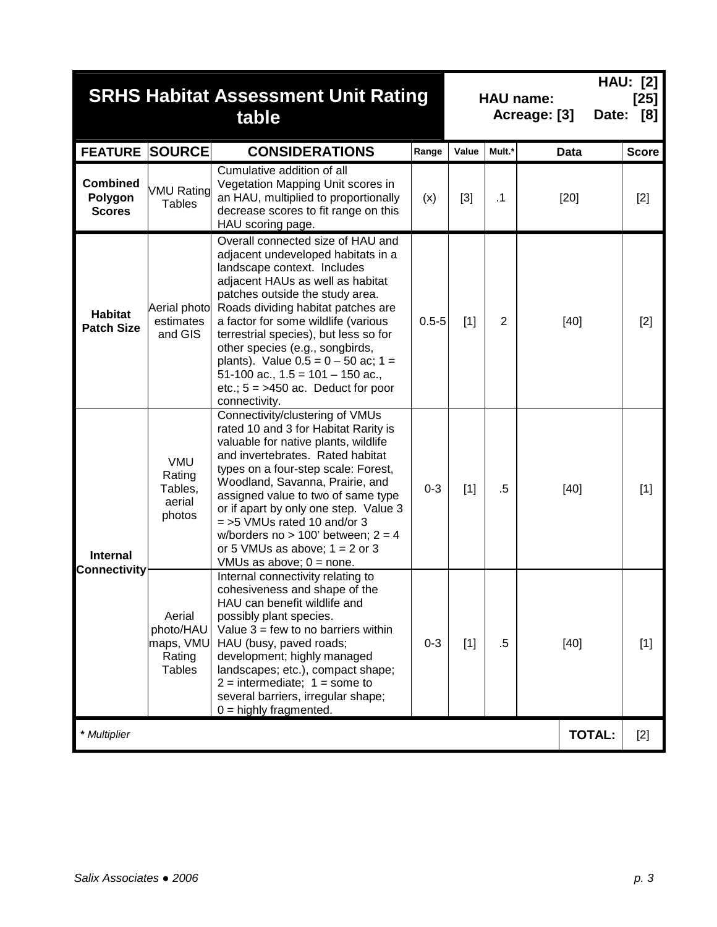|                                             |                                                             | <b>SRHS Habitat Assessment Unit Rating</b><br>table                                                                                                                                                                                                                                                                                                                                                                                                                            |           | <b>HAU:</b> [2]<br><b>HAU name:</b><br>$[25]$<br>Date: [8]<br>Acreage: [3] |                |               |              |  |  |
|---------------------------------------------|-------------------------------------------------------------|--------------------------------------------------------------------------------------------------------------------------------------------------------------------------------------------------------------------------------------------------------------------------------------------------------------------------------------------------------------------------------------------------------------------------------------------------------------------------------|-----------|----------------------------------------------------------------------------|----------------|---------------|--------------|--|--|
| <b>FEATURE SOURCE</b>                       |                                                             | <b>CONSIDERATIONS</b>                                                                                                                                                                                                                                                                                                                                                                                                                                                          | Range     | Value                                                                      | Mult.*         | <b>Data</b>   | <b>Score</b> |  |  |
| <b>Combined</b><br>Polygon<br><b>Scores</b> | <b>VMU Rating</b><br><b>Tables</b>                          | Cumulative addition of all<br>Vegetation Mapping Unit scores in<br>an HAU, multiplied to proportionally<br>decrease scores to fit range on this<br>HAU scoring page.                                                                                                                                                                                                                                                                                                           | (x)       | $[3]$                                                                      | $\cdot$ 1      | $[20]$        | $[2]$        |  |  |
| <b>Habitat</b><br><b>Patch Size</b>         | Aerial photo<br>estimates<br>and GIS                        | Overall connected size of HAU and<br>adjacent undeveloped habitats in a<br>landscape context. Includes<br>adjacent HAUs as well as habitat<br>patches outside the study area.<br>Roads dividing habitat patches are<br>a factor for some wildlife (various<br>terrestrial species), but less so for<br>other species (e.g., songbirds,<br>plants). Value $0.5 = 0 - 50$ ac; 1 =<br>51-100 ac., $1.5 = 101 - 150$ ac.,<br>etc.; $5 = >450$ ac. Deduct for poor<br>connectivity. | $0.5 - 5$ | $[1]$                                                                      | $\overline{2}$ | $[40]$        | $[2]$        |  |  |
| <b>Internal</b>                             | VMU<br>Rating<br>Tables,<br>aerial<br>photos                | Connectivity/clustering of VMUs<br>rated 10 and 3 for Habitat Rarity is<br>valuable for native plants, wildlife<br>and invertebrates. Rated habitat<br>types on a four-step scale: Forest,<br>Woodland, Savanna, Prairie, and<br>assigned value to two of same type<br>or if apart by only one step. Value 3<br>$=$ >5 VMUs rated 10 and/or 3<br>w/borders no > 100' between; $2 = 4$<br>or 5 VMUs as above; $1 = 2$ or 3<br>VMUs as above; $0 =$ none.                        | $0 - 3$   | $[1]$                                                                      | $.5\,$         | $[40]$        | $[1]$        |  |  |
| Connectivity                                | Aerial<br>photo/HAU<br>maps, VMU<br>Rating<br><b>Tables</b> | $[40]$                                                                                                                                                                                                                                                                                                                                                                                                                                                                         | $[1]$     |                                                                            |                |               |              |  |  |
| * Multiplier                                |                                                             |                                                                                                                                                                                                                                                                                                                                                                                                                                                                                |           |                                                                            |                | <b>TOTAL:</b> | $[2]$        |  |  |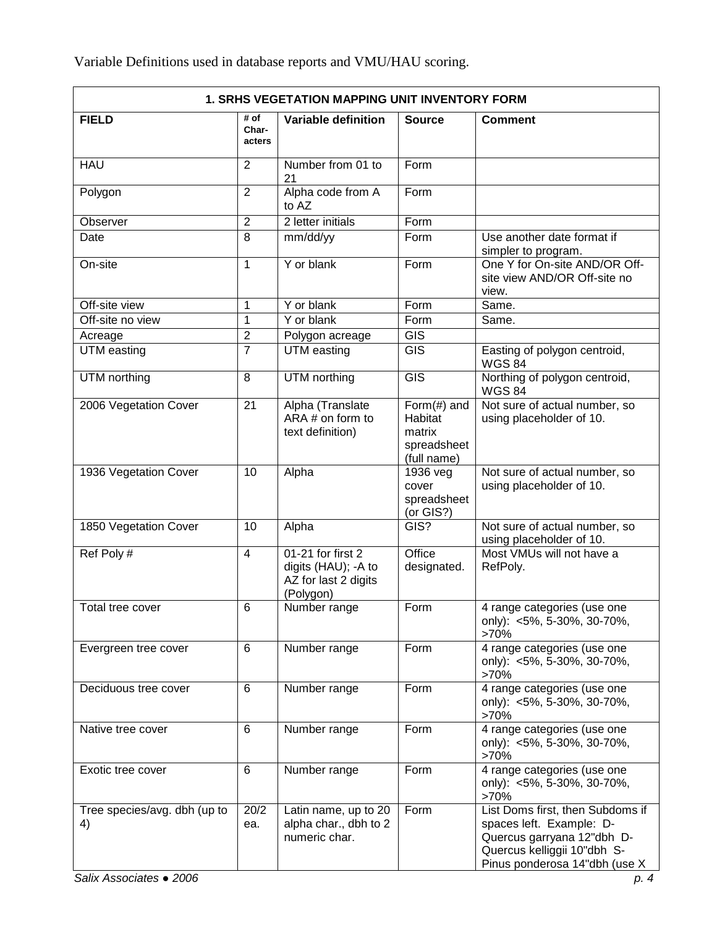| <b>1. SRHS VEGETATION MAPPING UNIT INVENTORY FORM</b> |                         |                                                                                |                                                                    |                                                                                                                                                            |  |  |  |
|-------------------------------------------------------|-------------------------|--------------------------------------------------------------------------------|--------------------------------------------------------------------|------------------------------------------------------------------------------------------------------------------------------------------------------------|--|--|--|
| <b>FIELD</b>                                          | # of<br>Char-<br>acters | <b>Variable definition</b>                                                     | <b>Source</b>                                                      | <b>Comment</b>                                                                                                                                             |  |  |  |
| <b>HAU</b>                                            | $\overline{2}$          | Number from 01 to<br>21                                                        | Form                                                               |                                                                                                                                                            |  |  |  |
| Polygon                                               | $\overline{2}$          | Alpha code from A<br>to AZ                                                     | Form                                                               |                                                                                                                                                            |  |  |  |
| Observer                                              | $\overline{2}$          | 2 letter initials                                                              | $\overline{F}$ orm                                                 |                                                                                                                                                            |  |  |  |
| Date                                                  | 8                       | mm/dd/yy                                                                       | Form                                                               | Use another date format if<br>simpler to program.                                                                                                          |  |  |  |
| On-site                                               | $\mathbf{1}$            | Y or blank                                                                     | Form                                                               | One Y for On-site AND/OR Off-<br>site view AND/OR Off-site no<br>view.                                                                                     |  |  |  |
| Off-site view                                         | 1                       | Y or blank                                                                     | Form                                                               | Same.                                                                                                                                                      |  |  |  |
| Off-site no view                                      | 1                       | Y or blank                                                                     | Form                                                               | Same.                                                                                                                                                      |  |  |  |
| Acreage                                               | $\overline{2}$          | Polygon acreage                                                                | $\overline{GIS}$                                                   |                                                                                                                                                            |  |  |  |
| UTM easting                                           | 7                       | UTM easting                                                                    | $\overline{GIS}$                                                   | Easting of polygon centroid,<br><b>WGS 84</b>                                                                                                              |  |  |  |
| UTM northing                                          | 8                       | UTM northing                                                                   | $\overline{GIS}$                                                   | Northing of polygon centroid,<br><b>WGS 84</b>                                                                                                             |  |  |  |
| 2006 Vegetation Cover                                 | 21                      | Alpha (Translate<br>$ARA \# on form to$<br>text definition)                    | Form $(\#)$ and<br>Habitat<br>matrix<br>spreadsheet<br>(full name) | Not sure of actual number, so<br>using placeholder of 10.                                                                                                  |  |  |  |
| 1936 Vegetation Cover                                 | 10                      | Alpha                                                                          | $1936$ veg<br>cover<br>spreadsheet<br>(or GIS?)                    | Not sure of actual number, so<br>using placeholder of 10.                                                                                                  |  |  |  |
| 1850 Vegetation Cover                                 | 10                      | Alpha                                                                          | GIS?                                                               | Not sure of actual number, so<br>using placeholder of 10.                                                                                                  |  |  |  |
| Ref Poly#                                             | $\overline{4}$          | 01-21 for first 2<br>digits (HAU); - A to<br>AZ for last 2 digits<br>(Polygon) | Office<br>designated.                                              | Most VMUs will not have a<br>RefPoly.                                                                                                                      |  |  |  |
| Total tree cover                                      | 6                       | Number range                                                                   | Form                                                               | 4 range categories (use one<br>only): <5%, 5-30%, 30-70%,<br>$>70\%$                                                                                       |  |  |  |
| Evergreen tree cover                                  | 6                       | Number range                                                                   | Form                                                               | 4 range categories (use one<br>only): <5%, 5-30%, 30-70%,<br>>70%                                                                                          |  |  |  |
| Deciduous tree cover                                  | 6                       | Number range                                                                   | Form                                                               | 4 range categories (use one<br>only): <5%, 5-30%, 30-70%,<br>>70%                                                                                          |  |  |  |
| Native tree cover                                     | 6                       | Number range                                                                   | Form                                                               | 4 range categories (use one<br>only): <5%, 5-30%, 30-70%,<br>>70%                                                                                          |  |  |  |
| Exotic tree cover                                     | 6                       | Number range                                                                   | Form                                                               | 4 range categories (use one<br>only): <5%, 5-30%, 30-70%,<br>>70%                                                                                          |  |  |  |
| Tree species/avg. dbh (up to<br>4)                    | 20/2<br>ea.             | Latin name, up to 20<br>alpha char., dbh to 2<br>numeric char.                 | Form                                                               | List Doms first, then Subdoms if<br>spaces left. Example: D-<br>Quercus garryana 12"dbh D-<br>Quercus kelliggii 10"dbh S-<br>Pinus ponderosa 14"dbh (use X |  |  |  |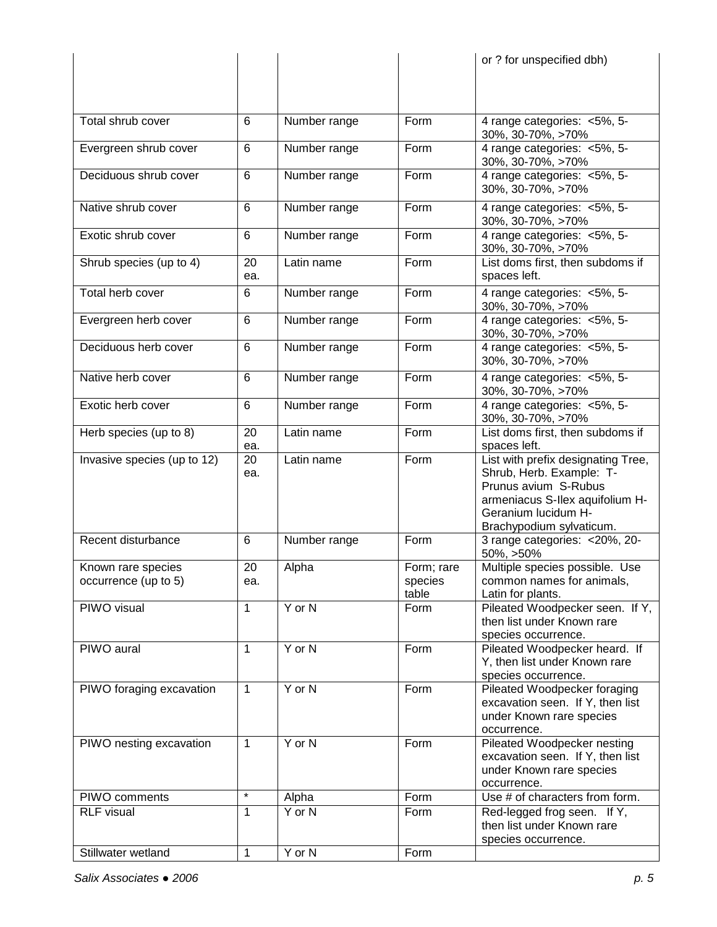|                                            |              |              |                       | or ? for unspecified dbh)                                                                                                                                                    |
|--------------------------------------------|--------------|--------------|-----------------------|------------------------------------------------------------------------------------------------------------------------------------------------------------------------------|
|                                            |              |              |                       |                                                                                                                                                                              |
|                                            |              |              |                       |                                                                                                                                                                              |
|                                            |              |              |                       |                                                                                                                                                                              |
| Total shrub cover                          | 6            | Number range | Form                  | 4 range categories: <5%, 5-<br>30%, 30-70%, >70%                                                                                                                             |
| Evergreen shrub cover                      | 6            | Number range | Form                  | 4 range categories: <5%, 5-<br>30%, 30-70%, >70%                                                                                                                             |
| Deciduous shrub cover                      | 6            | Number range | Form                  | 4 range categories: <5%, 5-<br>30%, 30-70%, >70%                                                                                                                             |
| Native shrub cover                         | 6            | Number range | Form                  | 4 range categories: <5%, 5-<br>30%, 30-70%, >70%                                                                                                                             |
| Exotic shrub cover                         | 6            | Number range | Form                  | 4 range categories: <5%, 5-<br>30%, 30-70%, >70%                                                                                                                             |
| Shrub species (up to 4)                    | 20<br>ea.    | Latin name   | Form                  | List doms first, then subdoms if<br>spaces left.                                                                                                                             |
| Total herb cover                           | 6            | Number range | Form                  | 4 range categories: <5%, 5-<br>30%, 30-70%, >70%                                                                                                                             |
| Evergreen herb cover                       | 6            | Number range | Form                  | 4 range categories: <5%, 5-<br>30%, 30-70%, >70%                                                                                                                             |
| Deciduous herb cover                       | 6            | Number range | Form                  | 4 range categories: <5%, 5-<br>30%, 30-70%, >70%                                                                                                                             |
| Native herb cover                          | 6            | Number range | Form                  | 4 range categories: <5%, 5-<br>30%, 30-70%, >70%                                                                                                                             |
| Exotic herb cover                          | 6            | Number range | Form                  | 4 range categories: <5%, 5-<br>30%, 30-70%, >70%                                                                                                                             |
| Herb species (up to 8)                     | 20<br>ea.    | Latin name   | Form                  | List doms first, then subdoms if<br>spaces left.                                                                                                                             |
| Invasive species (up to 12)                | 20<br>ea.    | Latin name   | Form                  | List with prefix designating Tree,<br>Shrub, Herb. Example: T-<br>Prunus avium S-Rubus<br>armeniacus S-llex aquifolium H-<br>Geranium lucidum H-<br>Brachypodium sylvaticum. |
| Recent disturbance                         | 6            | Number range | Form                  | 3 range categories: < 20%, 20-<br>50%, >50%                                                                                                                                  |
| Known rare species<br>occurrence (up to 5) | 20<br>ea.    | Alpha        | Form; rare<br>species | Multiple species possible. Use<br>common names for animals,                                                                                                                  |
| PIWO visual                                | $\mathbf{1}$ | Y or N       | table<br>Form         | Latin for plants.<br>Pileated Woodpecker seen. If Y,                                                                                                                         |
|                                            |              |              |                       | then list under Known rare<br>species occurrence.                                                                                                                            |
| PIWO aural                                 | 1            | $Y$ or $N$   | Form                  | Pileated Woodpecker heard. If<br>Y, then list under Known rare<br>species occurrence.                                                                                        |
| PIWO foraging excavation                   | 1            | Y or N       | Form                  | Pileated Woodpecker foraging<br>excavation seen. If Y, then list<br>under Known rare species<br>occurrence.                                                                  |
| PIWO nesting excavation                    | 1            | $Y$ or $N$   | Form                  | Pileated Woodpecker nesting<br>excavation seen. If Y, then list<br>under Known rare species<br>occurrence.                                                                   |
| PIWO comments                              | $\star$      | Alpha        | Form                  | Use # of characters from form.                                                                                                                                               |
| <b>RLF</b> visual                          | $\mathbf{1}$ | $Y$ or $N$   | Form                  | Red-legged frog seen. If Y,<br>then list under Known rare<br>species occurrence.                                                                                             |
| Stillwater wetland                         | $\mathbf{1}$ | Y or N       | Form                  |                                                                                                                                                                              |
|                                            |              |              |                       |                                                                                                                                                                              |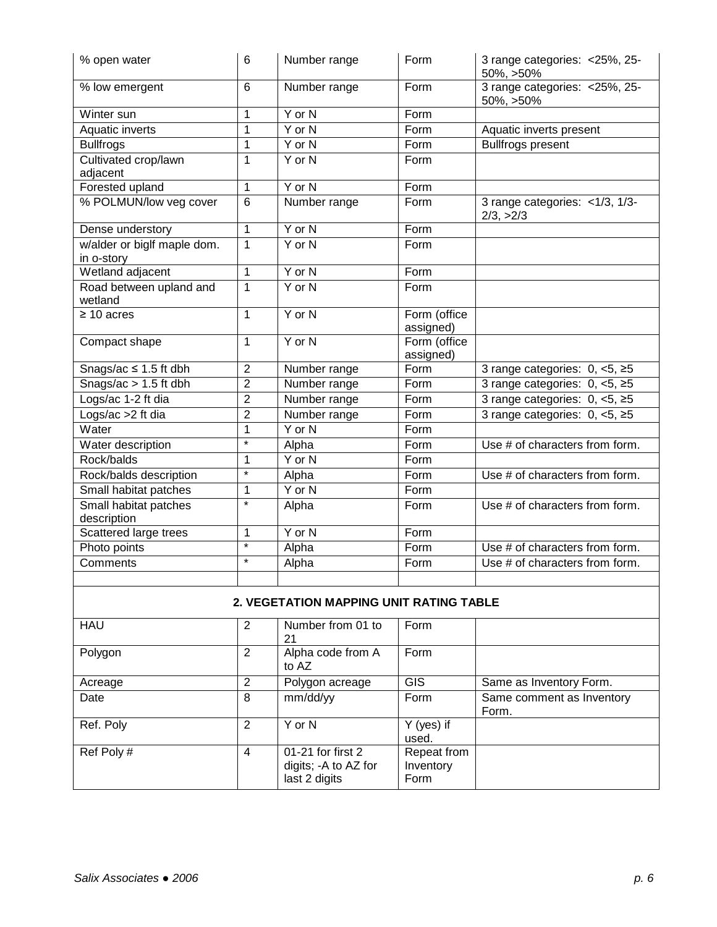| % open water                              | 6              | Number range               | Form                  | 3 range categories: < 25%, 25-<br>50%, >50% |  |  |  |  |
|-------------------------------------------|----------------|----------------------------|-----------------------|---------------------------------------------|--|--|--|--|
| % low emergent                            | 6              | Number range               | Form                  | 3 range categories: < 25%, 25-<br>50%, >50% |  |  |  |  |
| Winter sun                                | 1              | Y or N                     | Form                  |                                             |  |  |  |  |
| <b>Aquatic inverts</b>                    | $\mathbf 1$    | $Y$ or $N$                 | Form                  | Aquatic inverts present                     |  |  |  |  |
| <b>Bullfrogs</b>                          | 1              | $Y$ or $N$                 | Form                  | <b>Bullfrogs present</b>                    |  |  |  |  |
| Cultivated crop/lawn                      | $\mathbf{1}$   | Y or N                     | Form                  |                                             |  |  |  |  |
| adjacent                                  |                |                            |                       |                                             |  |  |  |  |
| Forested upland                           | $\mathbf 1$    | Y or N                     | Form                  |                                             |  |  |  |  |
| % POLMUN/low veg cover                    | 6              | Number range               | Form                  | 3 range categories: <1/3, 1/3-<br>2/3, >2/3 |  |  |  |  |
| Dense understory                          | $\mathbf{1}$   | $Y$ or $N$                 | Form                  |                                             |  |  |  |  |
| w/alder or biglf maple dom.<br>in o-story | $\mathbf{1}$   | Y or N                     | Form                  |                                             |  |  |  |  |
| Wetland adjacent                          | $\mathbf 1$    | $Y$ or $N$                 | Form                  |                                             |  |  |  |  |
| Road between upland and                   | $\mathbf{1}$   | $Y$ or $N$                 | Form                  |                                             |  |  |  |  |
| wetland                                   |                |                            |                       |                                             |  |  |  |  |
| $\geq 10$ acres                           | $\mathbf{1}$   | $Y$ or $N$                 | Form (office          |                                             |  |  |  |  |
|                                           |                |                            | assigned)             |                                             |  |  |  |  |
| Compact shape                             | $\mathbf{1}$   | Y or N                     | Form (office          |                                             |  |  |  |  |
|                                           |                |                            | assigned)             |                                             |  |  |  |  |
| Snags/ac $\leq$ 1.5 ft dbh                | $\overline{2}$ | Number range               | Form                  | 3 range categories: $0, <5, \ge 5$          |  |  |  |  |
| Snags/ac $> 1.5$ ft dbh                   | $\overline{2}$ | Number range               | Form                  | 3 range categories: $0, <5, \ge 5$          |  |  |  |  |
| Logs/ac 1-2 ft dia                        | $\overline{2}$ | Number range               | Form                  | 3 range categories: $0, <5, \ge 5$          |  |  |  |  |
| Logs/ac >2 ft dia                         | $\overline{2}$ | Number range               | Form                  | 3 range categories: $0, <5, \ge 5$          |  |  |  |  |
| Water                                     | $\mathbf{1}$   | $Y$ or $N$                 | Form                  |                                             |  |  |  |  |
| Water description                         | $\star$        | Alpha                      | Form                  | Use # of characters from form.              |  |  |  |  |
| Rock/balds                                | $\mathbf{1}$   | $Y$ or $N$                 | Form                  |                                             |  |  |  |  |
| Rock/balds description                    | $\star$        | Alpha                      | Form                  | Use # of characters from form.              |  |  |  |  |
| Small habitat patches                     | 1              | Y or N                     | Form                  |                                             |  |  |  |  |
| Small habitat patches<br>description      | $\star$        | Alpha                      | Form                  | Use # of characters from form.              |  |  |  |  |
| Scattered large trees                     | 1              | Y or N                     | Form                  |                                             |  |  |  |  |
| Photo points                              | $\star$        | Alpha                      | Form                  | Use # of characters from form.              |  |  |  |  |
| Comments                                  | $\star$        | Alpha                      | Form                  | Use # of characters from form.              |  |  |  |  |
|                                           |                |                            |                       |                                             |  |  |  |  |
| 2. VEGETATION MAPPING UNIT RATING TABLE   |                |                            |                       |                                             |  |  |  |  |
| <b>HAU</b>                                | $\overline{2}$ | Number from 01 to<br>21    | Form                  |                                             |  |  |  |  |
| Polygon                                   | $\overline{2}$ | Alpha code from A<br>to AZ | Form                  |                                             |  |  |  |  |
| Acreage                                   | $\overline{2}$ | Polygon acreage            | $\overline{GIS}$      | Same as Inventory Form.                     |  |  |  |  |
| Date                                      | 8              | mm/dd/yy                   | Form                  | Same comment as Inventory<br>Form.          |  |  |  |  |
| Ref. Poly                                 | $\overline{2}$ | $Y$ or $N$                 | $Y$ (yes) if<br>used. |                                             |  |  |  |  |
| Ref Poly#                                 | $\overline{4}$ | 01-21 for first 2          | Repeat from           |                                             |  |  |  |  |

digits; -A to AZ for last 2 digits

Inventory Form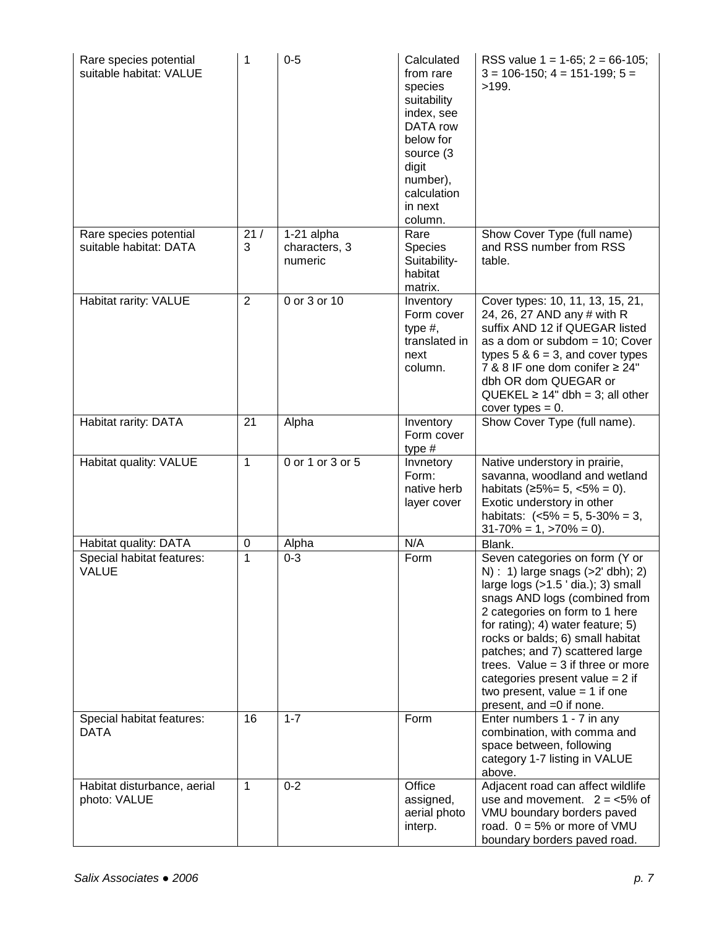| Rare species potential<br>suitable habitat: VALUE | 1            | $0 - 5$                                | Calculated<br>from rare<br>species<br>suitability<br>index, see<br>DATA row<br>below for<br>source (3)<br>digit<br>number),<br>calculation<br>in next<br>column. | RSS value $1 = 1-65$ ; $2 = 66-105$ ;<br>$3 = 106-150$ ; $4 = 151-199$ ; $5 =$<br>>199.                                                                                                                                                                                                                                                                                                                                                      |
|---------------------------------------------------|--------------|----------------------------------------|------------------------------------------------------------------------------------------------------------------------------------------------------------------|----------------------------------------------------------------------------------------------------------------------------------------------------------------------------------------------------------------------------------------------------------------------------------------------------------------------------------------------------------------------------------------------------------------------------------------------|
| Rare species potential<br>suitable habitat: DATA  | 21/<br>3     | 1-21 alpha<br>characters, 3<br>numeric | Rare<br><b>Species</b><br>Suitability-<br>habitat<br>matrix.                                                                                                     | Show Cover Type (full name)<br>and RSS number from RSS<br>table.                                                                                                                                                                                                                                                                                                                                                                             |
| Habitat rarity: VALUE                             | 2            | 0 or 3 or 10                           | Inventory<br>Form cover<br>type $#$ ,<br>translated in<br>next<br>column.                                                                                        | Cover types: 10, 11, 13, 15, 21,<br>24, 26, 27 AND any # with R<br>suffix AND 12 if QUEGAR listed<br>as a dom or subdom $= 10$ ; Cover<br>types $5 & 6 = 3$ , and cover types<br>7 & 8 IF one dom conifer $\geq$ 24"<br>dbh OR dom QUEGAR or<br>$QUEKEL \ge 14"$ dbh = 3; all other<br>cover types $= 0$ .                                                                                                                                   |
| Habitat rarity: DATA                              | 21           | Alpha                                  | Inventory<br>Form cover<br>type $#$                                                                                                                              | Show Cover Type (full name).                                                                                                                                                                                                                                                                                                                                                                                                                 |
| Habitat quality: VALUE                            | $\mathbf{1}$ | 0 or 1 or 3 or 5                       | Invnetory<br>Form:<br>native herb<br>layer cover                                                                                                                 | Native understory in prairie,<br>savanna, woodland and wetland<br>habitats $(25\% = 5, \langle 5\% = 0).$<br>Exotic understory in other<br>habitats: $(<5\% = 5, 5-30\% = 3,$<br>$31-70\% = 1, >70\% = 0$ .                                                                                                                                                                                                                                  |
| Habitat quality: DATA                             | 0            | Alpha                                  | N/A                                                                                                                                                              | Blank.                                                                                                                                                                                                                                                                                                                                                                                                                                       |
| Special habitat features:<br><b>VALUE</b>         | 1            | $0 - 3$                                | Form                                                                                                                                                             | Seven categories on form (Y or<br>$N$ : 1) large snags ( $>2$ ' dbh); 2)<br>large $logs$ ( $>1.5$ 'dia.); 3) small<br>snags AND logs (combined from<br>2 categories on form to 1 here<br>for rating); 4) water feature; 5)<br>rocks or balds; 6) small habitat<br>patches; and 7) scattered large<br>trees. Value = $3$ if three or more<br>categories present value = $2$ if<br>two present, value $= 1$ if one<br>present, and =0 if none. |
| Special habitat features:<br><b>DATA</b>          | 16           | $1 - 7$                                | Form                                                                                                                                                             | Enter numbers 1 - 7 in any<br>combination, with comma and<br>space between, following<br>category 1-7 listing in VALUE<br>above.                                                                                                                                                                                                                                                                                                             |
| Habitat disturbance, aerial<br>photo: VALUE       | $\mathbf{1}$ | $0 - 2$                                | Office<br>assigned,<br>aerial photo<br>interp.                                                                                                                   | Adjacent road can affect wildlife<br>use and movement. $2 = 5\%$ of<br>VMU boundary borders paved<br>road. $0 = 5%$ or more of VMU<br>boundary borders paved road.                                                                                                                                                                                                                                                                           |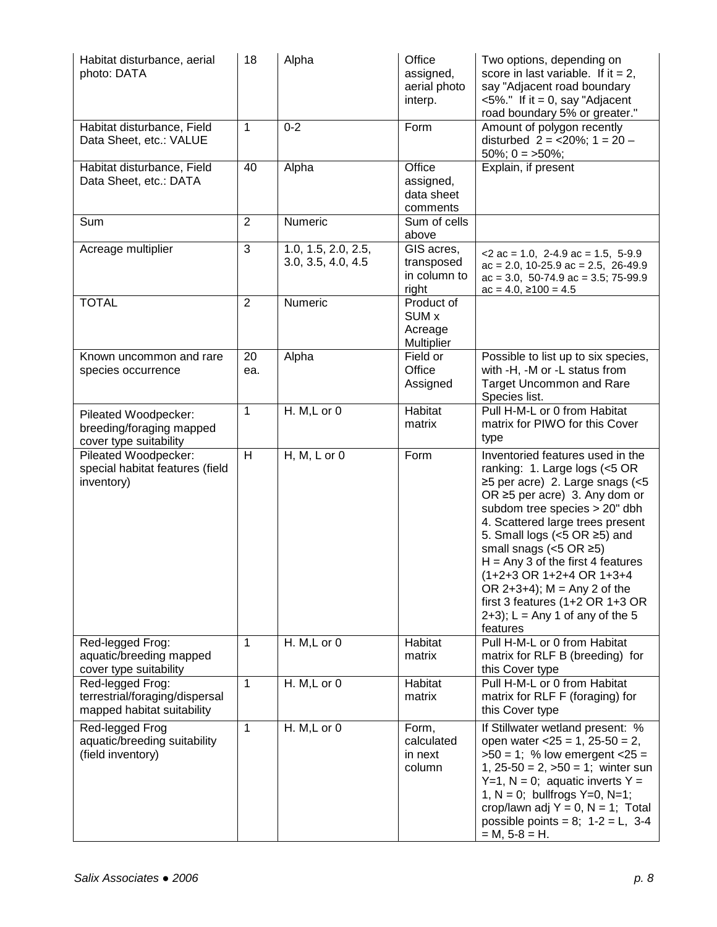| Habitat disturbance, aerial<br>photo: DATA                                       | 18             | Alpha                                     | Office<br>assigned,<br>aerial photo<br>interp.      | Two options, depending on<br>score in last variable. If it = 2,<br>say "Adjacent road boundary<br>$<5\%$ ." If it = 0, say "Adjacent<br>road boundary 5% or greater."                                                                                                                                                                                                                                                                                                             |
|----------------------------------------------------------------------------------|----------------|-------------------------------------------|-----------------------------------------------------|-----------------------------------------------------------------------------------------------------------------------------------------------------------------------------------------------------------------------------------------------------------------------------------------------------------------------------------------------------------------------------------------------------------------------------------------------------------------------------------|
| Habitat disturbance, Field<br>Data Sheet, etc.: VALUE                            | 1              | $0 - 2$                                   | Form                                                | Amount of polygon recently<br>disturbed $2 = 20\%$ ; 1 = 20 -<br>$50\%$ ; 0 = >50%;                                                                                                                                                                                                                                                                                                                                                                                               |
| Habitat disturbance, Field<br>Data Sheet, etc.: DATA                             | 40             | Alpha                                     | Office<br>assigned,<br>data sheet<br>comments       | Explain, if present                                                                                                                                                                                                                                                                                                                                                                                                                                                               |
| Sum                                                                              | $\overline{2}$ | Numeric                                   | Sum of cells<br>above                               |                                                                                                                                                                                                                                                                                                                                                                                                                                                                                   |
| Acreage multiplier                                                               | 3              | 1.0, 1.5, 2.0, 2.5,<br>3.0, 3.5, 4.0, 4.5 | GIS acres,<br>transposed<br>in column to<br>right   | $<$ 2 ac = 1.0, 2-4.9 ac = 1.5, 5-9.9<br>$ac = 2.0$ , 10-25.9 $ac = 2.5$ , 26-49.9<br>$ac = 3.0$ , 50-74.9 $ac = 3.5$ ; 75-99.9<br>$ac = 4.0, \ge 100 = 4.5$                                                                                                                                                                                                                                                                                                                      |
| <b>TOTAL</b>                                                                     | $\overline{2}$ | Numeric                                   | Product of<br><b>SUM x</b><br>Acreage<br>Multiplier |                                                                                                                                                                                                                                                                                                                                                                                                                                                                                   |
| Known uncommon and rare<br>species occurrence                                    | 20<br>ea.      | Alpha                                     | Field or<br>Office<br>Assigned                      | Possible to list up to six species,<br>with -H, -M or -L status from<br><b>Target Uncommon and Rare</b><br>Species list.                                                                                                                                                                                                                                                                                                                                                          |
| Pileated Woodpecker:<br>breeding/foraging mapped<br>cover type suitability       | 1              | H. M, L or 0                              | Habitat<br>matrix                                   | Pull H-M-L or 0 from Habitat<br>matrix for PIWO for this Cover<br>type                                                                                                                                                                                                                                                                                                                                                                                                            |
| Pileated Woodpecker:<br>special habitat features (field<br>inventory)            | H              | $H, M, L$ or 0                            | Form                                                | Inventoried features used in the<br>ranking: 1. Large logs (<5 OR<br>$\geq$ 5 per acre) 2. Large snags (<5<br>OR $\geq$ 5 per acre) 3. Any dom or<br>subdom tree species > 20" dbh<br>4. Scattered large trees present<br>5. Small logs (<5 OR ≥5) and<br>small snags ( $<$ 5 OR $\ge$ 5)<br>$H = Any 3 of the first 4 features$<br>(1+2+3 OR 1+2+4 OR 1+3+4<br>OR $2+3+4$ ; M = Any 2 of the<br>first 3 features (1+2 OR 1+3 OR<br>$2+3$ ; L = Any 1 of any of the 5<br>features |
| Red-legged Frog:<br>aquatic/breeding mapped<br>cover type suitability            | 1              | H. M, L or 0                              | Habitat<br>matrix                                   | Pull H-M-L or 0 from Habitat<br>matrix for RLF B (breeding) for<br>this Cover type                                                                                                                                                                                                                                                                                                                                                                                                |
| Red-legged Frog:<br>terrestrial/foraging/dispersal<br>mapped habitat suitability | 1              | H. M,L or 0                               | Habitat<br>matrix                                   | Pull H-M-L or 0 from Habitat<br>matrix for RLF F (foraging) for<br>this Cover type                                                                                                                                                                                                                                                                                                                                                                                                |
| Red-legged Frog<br>aquatic/breeding suitability<br>(field inventory)             | 1              | $H. M.L$ or 0                             | Form,<br>calculated<br>in next<br>column            | If Stillwater wetland present: %<br>open water $<25 = 1$ , 25-50 = 2,<br>$>50 = 1$ ; % low emergent <25 =<br>1, $25-50 = 2$ , $>50 = 1$ ; winter sun<br>$Y=1$ , N = 0; aquatic inverts Y =<br>1, $N = 0$ ; bullfrogs $Y=0$ , $N=1$ ;<br>crop/lawn adj $Y = 0$ , $N = 1$ ; Total<br>possible points = 8; $1-2 = L$ , 3-4<br>$= M, 5-8 = H.$                                                                                                                                        |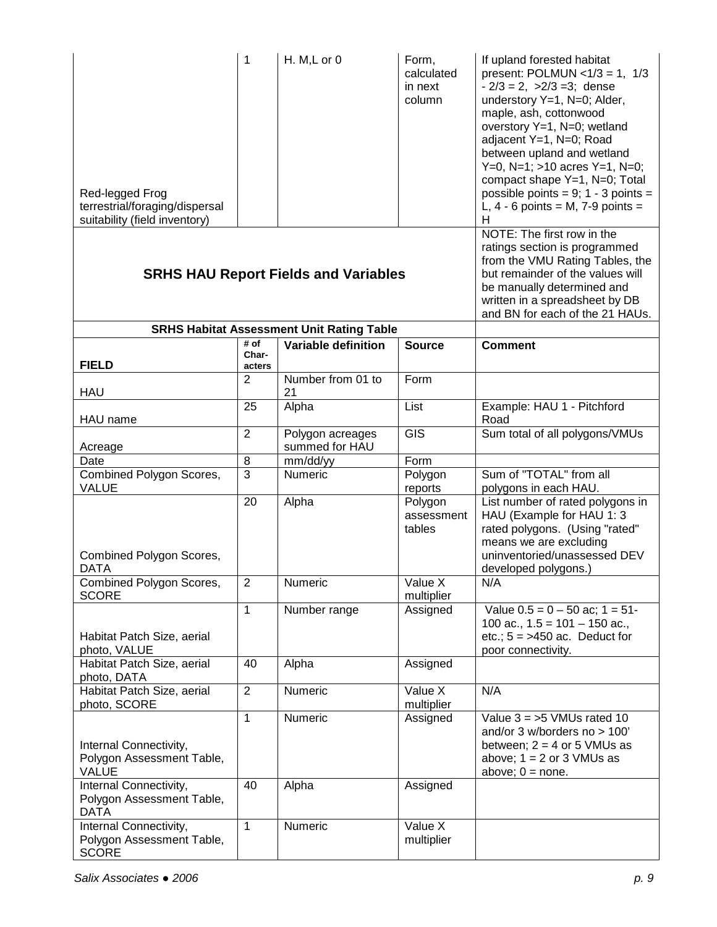| Red-legged Frog<br>terrestrial/foraging/dispersal<br>suitability (field inventory) | 1               | H. M, L or 0                                     | Form,<br>calculated<br>in next<br>column | If upland forested habitat<br>present: POLMUN < $1/3 = 1$ , $1/3$<br>$-2/3 = 2$ , $>2/3 = 3$ ; dense<br>understory Y=1, N=0; Alder,<br>maple, ash, cottonwood<br>overstory Y=1, N=0; wetland<br>adjacent Y=1, N=0; Road<br>between upland and wetland<br>Y=0, N=1; $>10$ acres Y=1, N=0;<br>compact shape Y=1, N=0; Total<br>possible points = $9$ ; 1 - 3 points =<br>L, $4 - 6$ points = M, $7 - 9$ points =<br>н |
|------------------------------------------------------------------------------------|-----------------|--------------------------------------------------|------------------------------------------|---------------------------------------------------------------------------------------------------------------------------------------------------------------------------------------------------------------------------------------------------------------------------------------------------------------------------------------------------------------------------------------------------------------------|
|                                                                                    |                 | <b>SRHS HAU Report Fields and Variables</b>      |                                          | NOTE: The first row in the<br>ratings section is programmed<br>from the VMU Rating Tables, the<br>but remainder of the values will<br>be manually determined and<br>written in a spreadsheet by DB<br>and BN for each of the 21 HAUs.                                                                                                                                                                               |
|                                                                                    | # of            | <b>SRHS Habitat Assessment Unit Rating Table</b> |                                          |                                                                                                                                                                                                                                                                                                                                                                                                                     |
| <b>FIELD</b>                                                                       | Char-<br>acters | Variable definition                              | <b>Source</b>                            | <b>Comment</b>                                                                                                                                                                                                                                                                                                                                                                                                      |
| <b>HAU</b>                                                                         | $\overline{2}$  | Number from 01 to<br>21                          | Form                                     |                                                                                                                                                                                                                                                                                                                                                                                                                     |
| HAU name                                                                           | 25              | Alpha                                            | List                                     | Example: HAU 1 - Pitchford<br>Road                                                                                                                                                                                                                                                                                                                                                                                  |
| Acreage                                                                            | $\overline{2}$  | Polygon acreages<br>summed for HAU               | $\overline{GIS}$                         | Sum total of all polygons/VMUs                                                                                                                                                                                                                                                                                                                                                                                      |
| Date                                                                               | 8               | mm/dd/yy                                         | Form                                     |                                                                                                                                                                                                                                                                                                                                                                                                                     |
| Combined Polygon Scores,<br><b>VALUE</b>                                           | 3               | Numeric                                          | Polygon<br>reports                       | Sum of "TOTAL" from all<br>polygons in each HAU.                                                                                                                                                                                                                                                                                                                                                                    |
| Combined Polygon Scores,<br><b>DATA</b>                                            | 20              | Alpha                                            | Polygon<br>assessment<br>tables          | List number of rated polygons in<br>HAU (Example for HAU 1: 3<br>rated polygons. (Using "rated"<br>means we are excluding<br>uninventoried/unassessed DEV<br>developed polygons.)                                                                                                                                                                                                                                   |
| Combined Polygon Scores,<br><b>SCORE</b>                                           | $\overline{2}$  | Numeric                                          | Value X<br>multiplier                    | N/A                                                                                                                                                                                                                                                                                                                                                                                                                 |
| Habitat Patch Size, aerial<br>photo, VALUE                                         | $\mathbf{1}$    | Number range                                     | Assigned                                 | Value $0.5 = 0 - 50$ ac; $1 = 51$ -<br>100 ac., $1.5 = 101 - 150$ ac.,<br>etc.; $5 = >450$ ac. Deduct for<br>poor connectivity.                                                                                                                                                                                                                                                                                     |
| Habitat Patch Size, aerial<br>photo, DATA                                          | 40              | Alpha                                            | Assigned                                 |                                                                                                                                                                                                                                                                                                                                                                                                                     |
| Habitat Patch Size, aerial<br>photo, SCORE                                         | $\overline{c}$  | Numeric                                          | Value X<br>multiplier                    | N/A                                                                                                                                                                                                                                                                                                                                                                                                                 |
| Internal Connectivity,<br>Polygon Assessment Table,<br><b>VALUE</b>                | $\mathbf{1}$    | Numeric                                          | Assigned                                 | Value $3 = 5$ VMUs rated 10<br>and/or 3 w/borders no > 100'<br>between; $2 = 4$ or 5 VMUs as<br>above; $1 = 2$ or $3$ VMUs as<br>above; $0 = none$ .                                                                                                                                                                                                                                                                |
| Internal Connectivity,<br>Polygon Assessment Table,<br><b>DATA</b>                 | 40              | Alpha                                            | Assigned                                 |                                                                                                                                                                                                                                                                                                                                                                                                                     |
| Internal Connectivity,<br>Polygon Assessment Table,<br><b>SCORE</b>                | $\mathbf{1}$    | Numeric                                          | Value X<br>multiplier                    |                                                                                                                                                                                                                                                                                                                                                                                                                     |